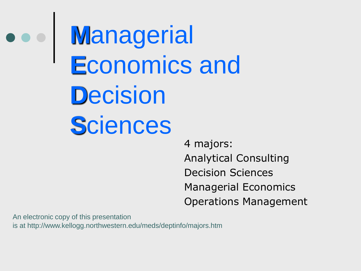**M**anagerial **E**conomics and **D**ecision **S**ciences

> 4 majors: Analytical Consulting Decision Sciences Managerial Economics Operations Management

An electronic copy of this presentation is at http://www.kellogg.northwestern.edu/meds/deptinfo/majors.htm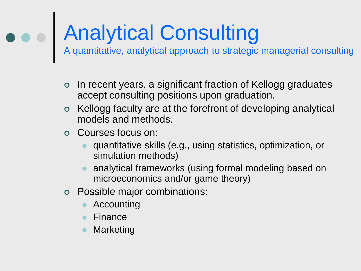# Analytical Consulting

A quantitative, analytical approach to strategic managerial consulting

- o In recent years, a significant fraction of Kellogg graduates accept consulting positions upon graduation.
- Kellogg faculty are at the forefront of developing analytical models and methods.
- Courses focus on:
	- quantitative skills (e.g., using statistics, optimization, or simulation methods)
	- analytical frameworks (using formal modeling based on microeconomics and/or game theory)
- Possible major combinations:
	- Accounting
	- Finance
	- Marketing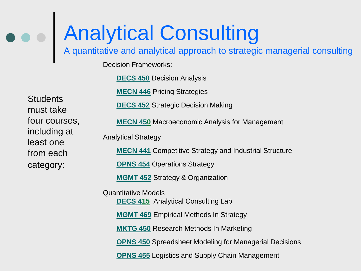### Analytical Consulting

A quantitative and analytical approach to strategic managerial consulting

Decision Frameworks:

**[DECS 450](http://www1.kellogg.nwu.edu/dpco/DeptPrgCrsList.asp?course_id=DECS-450-0)** Decision Analysis

**[MECN 446](http://www1.kellogg.nwu.edu/dpco/DeptPrgCrsList.asp?course_id=MECN-446-0)** Pricing Strategies

**Students** must take four courses, including at least one from each category:

**[DECS 452](http://www1.kellogg.nwu.edu/dpco/DeptPrgCrsList.asp?course_id=DECS-452-0)** Strategic Decision Making

**[MECN 450](http://www1.kellogg.nwu.edu/dpco/DeptPrgCrsList.asp?course_id=DECS-452-0)** Macroeconomic Analysis for Management

Analytical Strategy

**[MECN 441](http://www1.kellogg.nwu.edu/dpco/DeptPrgCrsList.asp?course_id=MECN-441-0)** Competitive Strategy and Industrial Structure

**[OPNS 454](http://www1.kellogg.nwu.edu/dpco/DeptPrgCrsList.asp?course_id=OPNS-454-0) Operations Strategy** 

**[MGMT 452](http://www1.kellogg.nwu.edu/dpco/DeptPrgCrsList.asp?course_id=MGMT-452-0)** Strategy & Organization

Quantitative Models **[DECS](http://www1.kellogg.nwu.edu/dpco/DeptPrgCrsList.asp?course_id=MGMT-469-0) [41](http://www1.kellogg.nwu.edu/dpco/DeptPrgCrsList.asp?course_id=MGMT-469-0)5** Analytical Consulting Lab **[MGMT](http://www1.kellogg.nwu.edu/dpco/DeptPrgCrsList.asp?course_id=MGMT-469-0) [469](http://www1.kellogg.nwu.edu/dpco/DeptPrgCrsList.asp?course_id=MGMT-469-0)** Empirical Methods In Strategy **[MKTG 450](http://www1.kellogg.nwu.edu/dpco/DeptPrgCrsList.asp?course_id=MKTG-450-0)** Research Methods In Marketing **[OPNS 450](http://www1.kellogg.nwu.edu/dpco/DeptPrgCrsList.asp?course_id=OPNS-450-0)** Spreadsheet Modeling for Managerial Decisions

**[OPNS 455](http://www1.kellogg.nwu.edu/dpco/DeptPrgCrsList.asp?course_id=OPNS-455-0)** Logistics and Supply Chain Management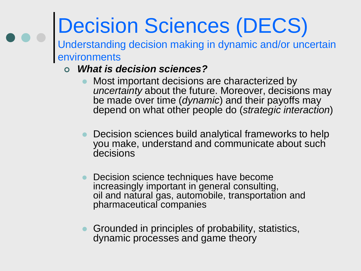# Decision Sciences (DECS)

Understanding decision making in dynamic and/or uncertain environments

- *What is decision sciences?*
	- Most important decisions are characterized by *uncertainty* about the future. Moreover, decisions may be made over time (*dynamic*) and their payoffs may depend on what other people do (*strategic interaction*)
	- Decision sciences build analytical frameworks to help you make, understand and communicate about such decisions
	- Decision science techniques have become increasingly important in general consulting, oil and natural gas, automobile, transportation and pharmaceutical companies
	- Grounded in principles of probability, statistics, dynamic processes and game theory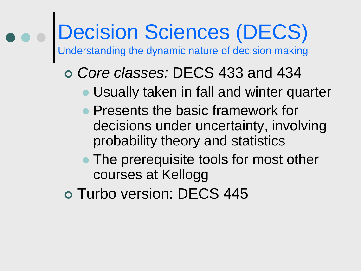# Decision Sciences (DECS)

Understanding the dynamic nature of decision making

#### *Core classes:* DECS 433 and 434

- Usually taken in fall and winter quarter
- Presents the basic framework for decisions under uncertainty, involving probability theory and statistics
- The prerequisite tools for most other courses at Kellogg
- o Turbo version: DECS 445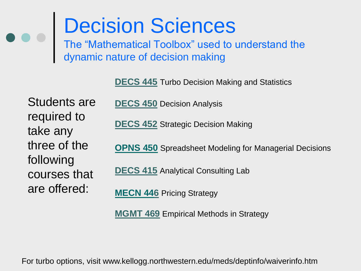### Decision Sciences

The "Mathematical Toolbox" used to understand the dynamic nature of decision making

**DECS 445** Turbo Decision Making and Statistics

Students are required to take any three of the following courses that are offered:

**DECS 450** Decision Analysis

**DECS 452** Strategic Decision Making

**[OPNS 450](http://www1.kellogg.nwu.edu/dpco/DeptPrgCrsList.asp?course_id=OPNS-450-0)** Spreadsheet Modeling for Managerial Decisions

**DECS 415** Analytical Consulting Lab

**[MECN 44](http://www1.kellogg.nwu.edu/dpco/DeptPrgCrsList.asp?course_id=OPNS-454-0)6** Pricing Strategy

**MGMT 469** Empirical Methods in Strategy

For turbo options, visit www.kellogg.northwestern.edu/meds/deptinfo/waiverinfo.htm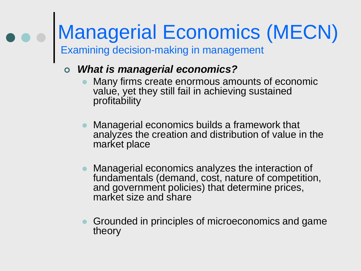### Managerial Economics (MECN)

Examining decision-making in management

#### *What is managerial economics?*

- Many firms create enormous amounts of economic value, yet they still fail in achieving sustained profitability
- Managerial economics builds a framework that analyzes the creation and distribution of value in the market place
- Managerial economics analyzes the interaction of fundamentals (demand, cost, nature of competition, and government policies) that determine prices, market size and share
- Grounded in principles of microeconomics and game theory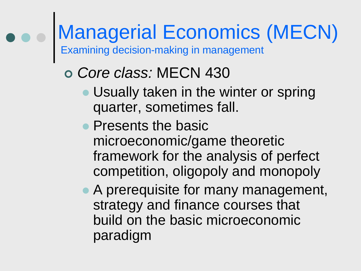# Managerial Economics (MECN)

Examining decision-making in management

### *Core class:* MECN 430

- Usually taken in the winter or spring quarter, sometimes fall.
- Presents the basic microeconomic/game theoretic framework for the analysis of perfect competition, oligopoly and monopoly
- A prerequisite for many management, strategy and finance courses that build on the basic microeconomic paradigm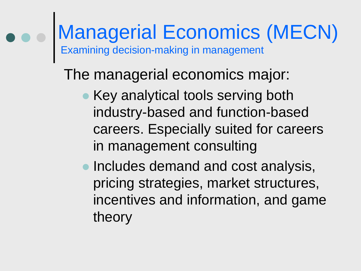#### Managerial Economics (MECN) Examining decision-making in management

The managerial economics major:

- **Key analytical tools serving both** industry-based and function-based careers. Especially suited for careers in management consulting
- **Includes demand and cost analysis,** pricing strategies, market structures, incentives and information, and game theory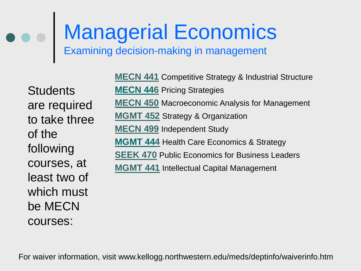# Managerial Economics

Examining decision-making in management

**Students** are required to take three of the following courses, at least two of which must be MECN courses:

**MECN 441** Competitive Strategy & Industrial Structure **[MECN 44](http://www1.kellogg.nwu.edu/dpco/DeptPrgCrsList.asp?course_id=OPNS-454-0)6** Pricing Strategies **MECN 450** Macroeconomic Analysis for Management **MGMT 452** Strategy & Organization **MECN 499** Independent Study **[MGMT 44](http://www1.kellogg.nwu.edu/dpco/DeptPrgCrsList.asp?course_id=OPNS-454-0)4** Health Care Economics & Strategy **SEEK 470** Public Economics for Business Leaders **MGMT 441** Intellectual Capital Management

For waiver information, visit www.kellogg.northwestern.edu/meds/deptinfo/waiverinfo.htm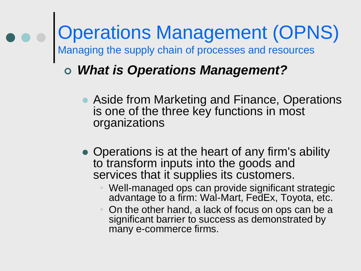### Operations Management (OPNS) Managing the supply chain of processes and resources

#### *What is Operations Management?*

- Aside from Marketing and Finance, Operations is one of the three key functions in most organizations
- Operations is at the heart of any firm's ability to transform inputs into the goods and services that it supplies its customers.
	- Well-managed ops can provide significant strategic advantage to a firm: Wal-Mart, FedEx, Toyota, etc.
	- On the other hand, a lack of focus on ops can be a significant barrier to success as demonstrated by many e-commerce firms.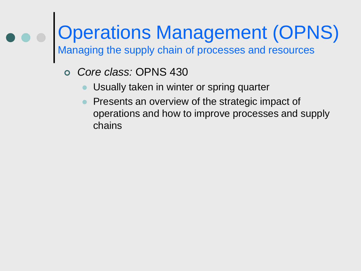# Operations Management (OPNS)

Managing the supply chain of processes and resources

- *Core class:* OPNS 430
	- Usually taken in winter or spring quarter
	- Presents an overview of the strategic impact of operations and how to improve processes and supply chains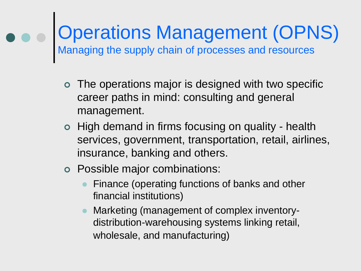### Operations Management (OPNS) Managing the supply chain of processes and resources

- The operations major is designed with two specific career paths in mind: consulting and general management.
- o High demand in firms focusing on quality health services, government, transportation, retail, airlines, insurance, banking and others.
- Possible major combinations:
	- Finance (operating functions of banks and other financial institutions)
	- Marketing (management of complex inventorydistribution-warehousing systems linking retail, wholesale, and manufacturing)